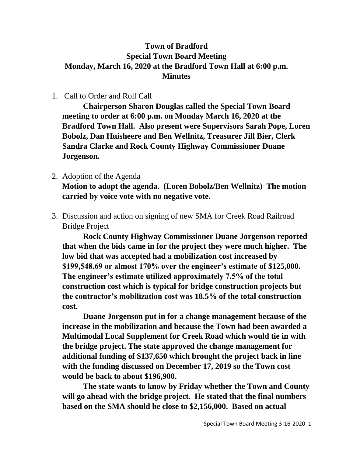## **Town of Bradford Special Town Board Meeting Monday, March 16, 2020 at the Bradford Town Hall at 6:00 p.m. Minutes**

## 1. Call to Order and Roll Call

**Chairperson Sharon Douglas called the Special Town Board meeting to order at 6:00 p.m. on Monday March 16, 2020 at the Bradford Town Hall. Also present were Supervisors Sarah Pope, Loren Bobolz, Dan Huisheere and Ben Wellnitz, Treasurer Jill Bier, Clerk Sandra Clarke and Rock County Highway Commissioner Duane Jorgenson.**

- 2. Adoption of the Agenda **Motion to adopt the agenda. (Loren Bobolz/Ben Wellnitz) The motion carried by voice vote with no negative vote.**
- 3. Discussion and action on signing of new SMA for Creek Road Railroad Bridge Project

**Rock County Highway Commissioner Duane Jorgenson reported that when the bids came in for the project they were much higher. The low bid that was accepted had a mobilization cost increased by \$199,548.69 or almost 170% over the engineer's estimate of \$125,000. The engineer's estimate utilized approximately 7.5% of the total construction cost which is typical for bridge construction projects but the contractor's mobilization cost was 18.5% of the total construction cost.** 

**Duane Jorgenson put in for a change management because of the increase in the mobilization and because the Town had been awarded a Multimodal Local Supplement for Creek Road which would tie in with the bridge project. The state approved the change management for additional funding of \$137,650 which brought the project back in line with the funding discussed on December 17, 2019 so the Town cost would be back to about \$196,900.** 

**The state wants to know by Friday whether the Town and County will go ahead with the bridge project. He stated that the final numbers based on the SMA should be close to \$2,156,000. Based on actual**